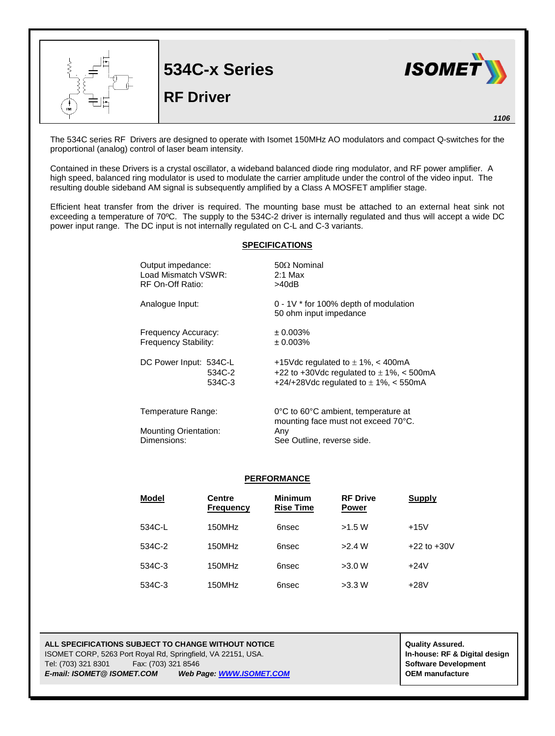

The 534C series RF Drivers are designed to operate with Isomet 150MHz AO modulators and compact Q-switches for the proportional (analog) control of laser beam intensity.

Contained in these Drivers is a crystal oscillator, a wideband balanced diode ring modulator, and RF power amplifier. A high speed, balanced ring modulator is used to modulate the carrier amplitude under the control of the video input. The resulting double sideband AM signal is subsequently amplified by a Class A MOSFET amplifier stage.

Efficient heat transfer from the driver is required. The mounting base must be attached to an external heat sink not exceeding a temperature of 70ºC. The supply to the 534C-2 driver is internally regulated and thus will accept a wide DC power input range. The DC input is not internally regulated on C-L and C-3 variants.

## **SPECIFICATIONS**

| Output impedance:<br>Load Mismatch VSWR:<br>RF On-Off Ratio: |                  | $50\Omega$ Nominal<br>$2:1$ Max<br>>40dB                                                                                           |  |  |
|--------------------------------------------------------------|------------------|------------------------------------------------------------------------------------------------------------------------------------|--|--|
| Analogue Input:                                              |                  | $0 - 1V$ * for 100% depth of modulation<br>50 ohm input impedance                                                                  |  |  |
| Frequency Accuracy:<br>Frequency Stability:                  |                  | ± 0.003%<br>$\pm 0.003\%$                                                                                                          |  |  |
| DC Power Input: 534C-L                                       | 534C-2<br>534C-3 | +15Vdc regulated to $\pm$ 1%, < 400mA<br>+22 to +30Vdc regulated to $\pm$ 1%, < 500mA<br>+24/+28Vdc regulated to $\pm$ 1%, < 550mA |  |  |
| Temperature Range:<br><b>Mounting Orientation:</b>           |                  | 0°C to 60°C ambient, temperature at<br>mounting face must not exceed 70°C.<br>Any                                                  |  |  |

Dimensions: See Outline, reverse side.

## **PERFORMANCE**

| <b>Model</b> | <b>Centre</b><br><b>Frequency</b> | <b>Minimum</b><br><b>Rise Time</b> | <b>RF Drive</b><br><b>Power</b> | <b>Supply</b>   |
|--------------|-----------------------------------|------------------------------------|---------------------------------|-----------------|
| 534C-L       | 150MHz                            | 6nsec                              | >1.5 W                          | $+15V$          |
| 534C-2       | 150MHz                            | 6nsec                              | >2.4 W                          | $+22$ to $+30V$ |
| 534C-3       | 150MHz                            | 6nsec                              | >3.0 W                          | $+24V$          |
| 534C-3       | 150MHz                            | 6nsec                              | >3.3 W                          | $+28V$          |

## **ALL SPECIFICATIONS SUBJECT TO CHANGE WITHOUT NOTICE ALL SPECIFICATIONS SUBJECT TO CHANGE WITHOUT NOTICE** ISOMET CORP, 5263 Port Royal Rd, Springfield, VA 22151, USA. **In-house: RF & Digital design** Tel: (703) 321 8301 Fax: (703) 321 8546 **Software Development** *E-mail: ISOMET@ ISOMET.COM Web Page[: WWW.ISOMET.COM](http://www.isomet.com/)* **OEM manufacture**